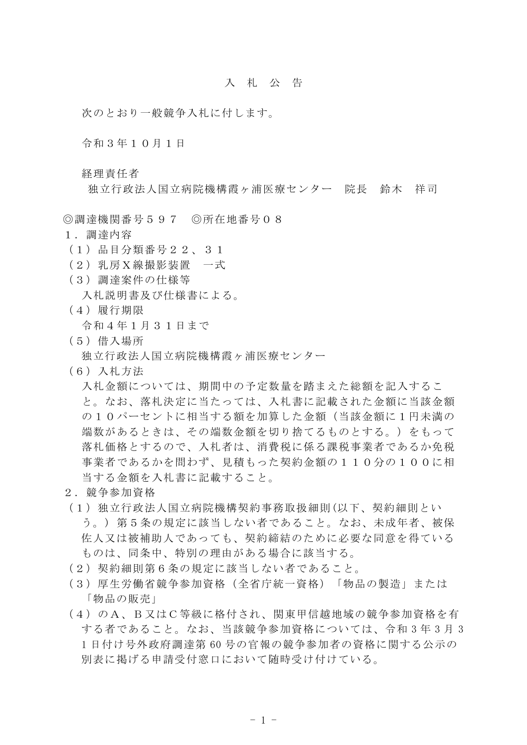## 入札公 告

次のとおり一般競争入札に付します。

令和3年10月1日

経理責任者

独立行政法人国立病院機構霞ヶ浦医療センター 院長 鈴木 祥司

◎調達機関番号597 ◎所在地番号08

- 1.調達内容
- (1)品目分類番号22、31
- (2)乳房X線撮影装置 一式
- (3)調達案件の仕様等
	- 入札説明書及び仕様書による。
- (4)履行期限
	- 令和4年1月31日まで
- (5)借入場所
	- 独立行政法人国立病院機構霞ヶ浦医療センター
- (6)入札方法

入札金額については、期間中の予定数量を踏まえた総額を記入するこ と。なお、落札決定に当たっては、入札書に記載された金額に当該金額 の10パーセントに相当する額を加算した金額(当該金額に1円未満の 端数があるときは、その端数金額を切り捨てるものとする。)をもって 落札価格とするので、入札者は、消費税に係る課税事業者であるか免税 事業者であるかを問わず、見積もった契約金額の110分の100に相 当する金額を入札書に記載すること。

- 2.競争参加資格
- (1)独立行政法人国立病院機構契約事務取扱細則(以下、契約細則とい う。) 第5条の規定に該当しない者であること。なお、未成年者、被保 佐人又は被補助人であっても、契約締結のために必要な同意を得ている ものは、同条中、特別の理由がある場合に該当する。
- (2)契約細則第6条の規定に該当しない者であること。
- (3)厚生労働省競争参加資格(全省庁統一資格)「物品の製造」または 「物品の販売」
- (4)のA、B又はC等級に格付され、関東甲信越地域の競争参加資格を有 する者であること。なお、当該競争参加資格については、令和 3 年 3 月 3 1 日付け号外政府調達第 60 号の官報の競争参加者の資格に関する公示の 別表に掲げる申請受付窓口において随時受け付けている。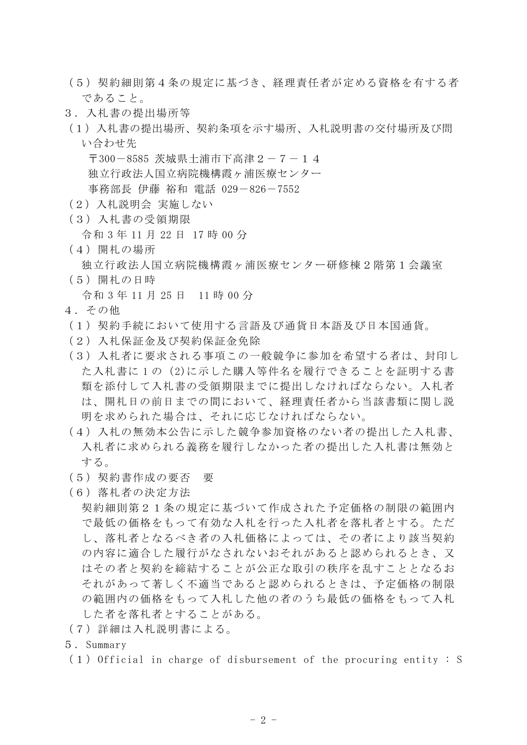- (5)契約細則第4条の規定に基づき、経理責任者が定める資格を有する者 であること。
- 3.入札書の提出場所等
- (1)入札書の提出場所、契約条項を示す場所、入札説明書の交付場所及び問 い合わせ先

〒300-8585 茨城県土浦市下高津2-7-14 独立行政法人国立病院機構霞ヶ浦医療センター

事務部長 伊藤 裕和 電話 029-826-7552

- (2)入札説明会 実施しない
- (3)入札書の受領期限

令和 3 年 11 月 22 日 17 時 00 分

(4)開札の場所

独立行政法人国立病院機構霞ヶ浦医療センター研修棟2階第1会議室

(5)開札の日時

令和 3 年 11 月 25 日 11 時 00 分

- 4.その他
- (1)契約手続において使用する言語及び通貨日本語及び日本国通貨。
- (2)入札保証金及び契約保証金免除
- (3)入札者に要求される事項この一般競争に参加を希望する者は、封印し た入札書に 1 の(2)に示した購入等件名を履行できることを証明する書 類を添付して入札書の受領期限までに提出しなければならない。入札者 は、開札日の前日までの間において、経理責任者から当該書類に関し説 明を求められた場合は、それに応じなければならない。
- (4)入札の無効本公告に示した競争参加資格のない者の提出した入札書、 入札者に求められる義務を履行しなかった者の提出した入札書は無効と する。
- (5)契約書作成の要否 要
- (6)落札者の決定方法

契約細則第21条の規定に基づいて作成された予定価格の制限の範囲内 で最低の価格をもって有効な入札を行った入札者を落札者とする。ただ し、落札者となるべき者の入札価格によっては、その者により該当契約 の内容に適合した履行がなされないおそれがあると認められるとき、又 はその者と契約を締結することが公正な取引の秩序を乱すこととなるお それがあって著しく不適当であると認められるときは、予定価格の制限 の範囲内の価格をもって入札した他の者のうち最低の価格をもって入札 した者を落札者とすることがある。

- (7)詳細は入札説明書による。
- 5.Summary
- $(1)$  Official in charge of disbursement of the procuring entity : S